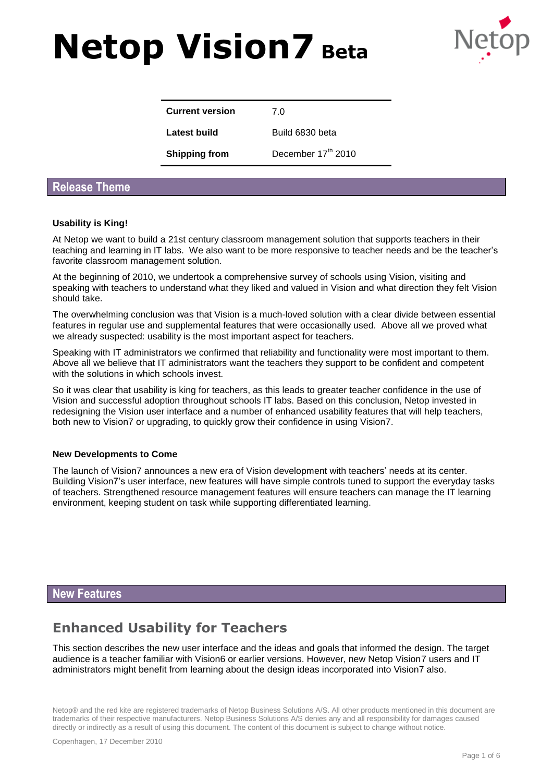

| <b>Current version</b> | 70                 |
|------------------------|--------------------|
| Latest build           | Build 6830 beta    |
| <b>Shipping from</b>   | December 17th 2010 |

### **Release Theme**

#### **Usability is King!**

At Netop we want to build a 21st century classroom management solution that supports teachers in their teaching and learning in IT labs. We also want to be more responsive to teacher needs and be the teacher's favorite classroom management solution.

At the beginning of 2010, we undertook a comprehensive survey of schools using Vision, visiting and speaking with teachers to understand what they liked and valued in Vision and what direction they felt Vision should take.

The overwhelming conclusion was that Vision is a much-loved solution with a clear divide between essential features in regular use and supplemental features that were occasionally used. Above all we proved what we already suspected: usability is the most important aspect for teachers.

Speaking with IT administrators we confirmed that reliability and functionality were most important to them. Above all we believe that IT administrators want the teachers they support to be confident and competent with the solutions in which schools invest.

So it was clear that usability is king for teachers, as this leads to greater teacher confidence in the use of Vision and successful adoption throughout schools IT labs. Based on this conclusion, Netop invested in redesigning the Vision user interface and a number of enhanced usability features that will help teachers, both new to Vision7 or upgrading, to quickly grow their confidence in using Vision7.

#### **New Developments to Come**

The launch of Vision7 announces a new era of Vision development with teachers' needs at its center. Building Vision7's user interface, new features will have simple controls tuned to support the everyday tasks of teachers. Strengthened resource management features will ensure teachers can manage the IT learning environment, keeping student on task while supporting differentiated learning.

### **New Features**

## **Enhanced Usability for Teachers**

This section describes the new user interface and the ideas and goals that informed the design. The target audience is a teacher familiar with Vision6 or earlier versions. However, new Netop Vision7 users and IT administrators might benefit from learning about the design ideas incorporated into Vision7 also.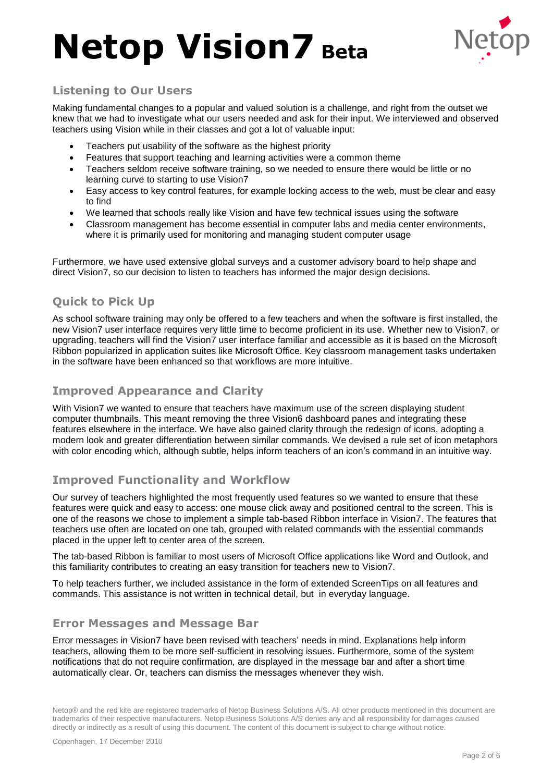

## **Listening to Our Users**

Making fundamental changes to a popular and valued solution is a challenge, and right from the outset we knew that we had to investigate what our users needed and ask for their input. We interviewed and observed teachers using Vision while in their classes and got a lot of valuable input:

- Teachers put usability of the software as the highest priority
- Features that support teaching and learning activities were a common theme
- Teachers seldom receive software training, so we needed to ensure there would be little or no learning curve to starting to use Vision7
- Easy access to key control features, for example locking access to the web, must be clear and easy to find
- We learned that schools really like Vision and have few technical issues using the software
- Classroom management has become essential in computer labs and media center environments, where it is primarily used for monitoring and managing student computer usage

Furthermore, we have used extensive global surveys and a customer advisory board to help shape and direct Vision7, so our decision to listen to teachers has informed the major design decisions.

## **Quick to Pick Up**

As school software training may only be offered to a few teachers and when the software is first installed, the new Vision7 user interface requires very little time to become proficient in its use. Whether new to Vision7, or upgrading, teachers will find the Vision7 user interface familiar and accessible as it is based on the Microsoft Ribbon popularized in application suites like Microsoft Office. Key classroom management tasks undertaken in the software have been enhanced so that workflows are more intuitive.

### **Improved Appearance and Clarity**

With Vision7 we wanted to ensure that teachers have maximum use of the screen displaying student computer thumbnails. This meant removing the three Vision6 dashboard panes and integrating these features elsewhere in the interface. We have also gained clarity through the redesign of icons, adopting a modern look and greater differentiation between similar commands. We devised a rule set of icon metaphors with color encoding which, although subtle, helps inform teachers of an icon's command in an intuitive way.

## **Improved Functionality and Workflow**

Our survey of teachers highlighted the most frequently used features so we wanted to ensure that these features were quick and easy to access: one mouse click away and positioned central to the screen. This is one of the reasons we chose to implement a simple tab-based Ribbon interface in Vision7. The features that teachers use often are located on one tab, grouped with related commands with the essential commands placed in the upper left to center area of the screen.

The tab-based Ribbon is familiar to most users of Microsoft Office applications like Word and Outlook, and this familiarity contributes to creating an easy transition for teachers new to Vision7.

To help teachers further, we included assistance in the form of extended ScreenTips on all features and commands. This assistance is not written in technical detail, but in everyday language.

### **Error Messages and Message Bar**

Error messages in Vision7 have been revised with teachers' needs in mind. Explanations help inform teachers, allowing them to be more self-sufficient in resolving issues. Furthermore, some of the system notifications that do not require confirmation, are displayed in the message bar and after a short time automatically clear. Or, teachers can dismiss the messages whenever they wish.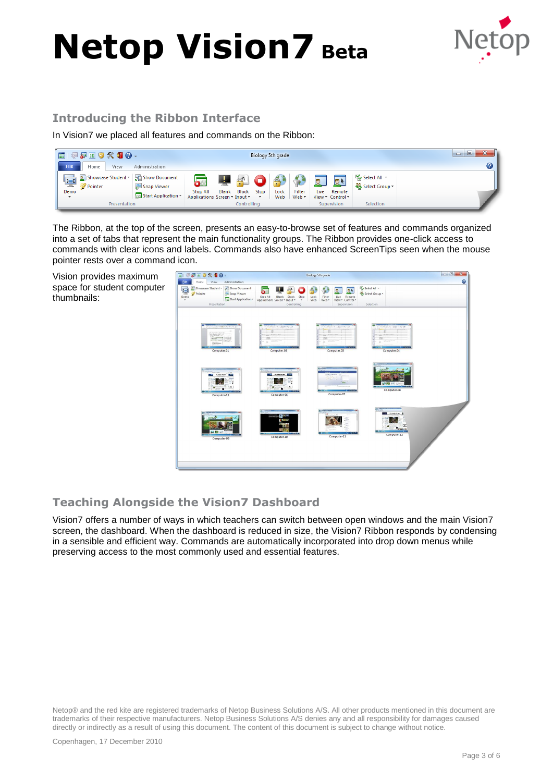

## **Introducing the Ribbon Interface**

In Vision7 we placed all features and commands on the Ribbon:

| □   愛愛画♥火曜❷→                                                                                                                  | CV <sub>2</sub><br>$\Box$<br>$\Box$<br>$\tilde{\phantom{a}}$                                                                                                                              |                                               |
|-------------------------------------------------------------------------------------------------------------------------------|-------------------------------------------------------------------------------------------------------------------------------------------------------------------------------------------|-----------------------------------------------|
| File<br>Home<br>Administration<br>View                                                                                        |                                                                                                                                                                                           |                                               |
| Showcase Student v   Show Document<br>$\blacksquare$<br>Snap Viewer<br>Pointer<br>Demo<br>Start Application *<br>$\mathbf{v}$ | Filter<br><b>Block</b><br>Live<br>Stop<br><b>Blank</b><br>Lock<br><b>Stop All</b><br>Web $\star$<br>Applications Screen v Input v<br>Web<br>View * Control *<br>$\boldsymbol{\mathrm{v}}$ | Select All *<br>R<br>Select Group +<br>Remote |
| Presentation                                                                                                                  | Supervision<br>Controlling                                                                                                                                                                | Selection                                     |

The Ribbon, at the top of the screen, presents an easy-to-browse set of features and commands organized into a set of tabs that represent the main functionality groups. The Ribbon provides one-click access to commands with clear icons and labels. Commands also have enhanced ScreenTips seen when the mouse pointer rests over a command icon.

Vision provides maximum space for student computer thumbnails:



## **Teaching Alongside the Vision7 Dashboard**

Vision7 offers a number of ways in which teachers can switch between open windows and the main Vision7 screen, the dashboard. When the dashboard is reduced in size, the Vision7 Ribbon responds by condensing in a sensible and efficient way. Commands are automatically incorporated into drop down menus while preserving access to the most commonly used and essential features.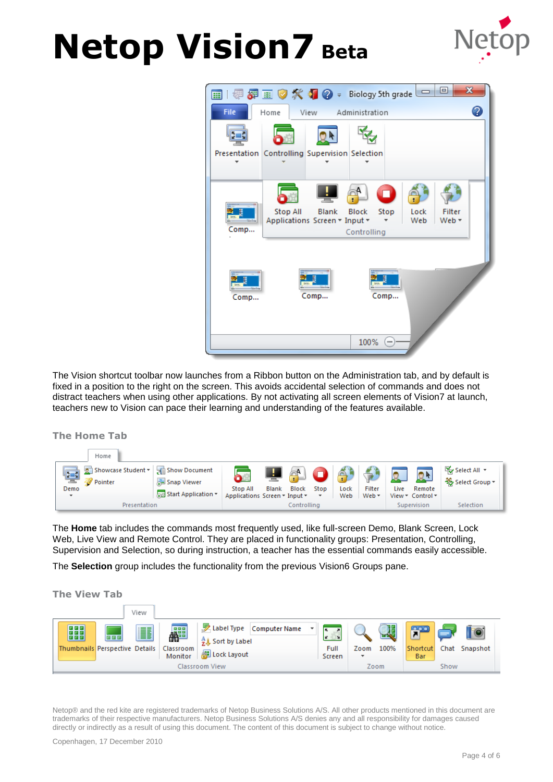



The Vision shortcut toolbar now launches from a Ribbon button on the Administration tab, and by default is fixed in a position to the right on the screen. This avoids accidental selection of commands and does not distract teachers when using other applications. By not activating all screen elements of Vision7 at launch, teachers new to Vision can pace their learning and understanding of the features available.

**The Home Tab**

|                                        | Home                          |                                                     |                                           |              |       |                      |             |                 |           |                                      |                                                  |
|----------------------------------------|-------------------------------|-----------------------------------------------------|-------------------------------------------|--------------|-------|----------------------|-------------|-----------------|-----------|--------------------------------------|--------------------------------------------------|
| 떻<br>Demo<br>$\boldsymbol{\mathrm{v}}$ | Showcase Student *<br>Pointer | Show Document<br>Snap Viewer<br>Start Application v | Stop All<br>Applications Screen v Input v | <b>Blank</b> | Block | Stop<br>$\mathbf{v}$ | Lock<br>Web | Filter<br>Web * | O<br>Live | Remote<br>View $\tau$ Control $\tau$ | $\mathbb{K}$ Select All $\tau$<br>Select Group * |
| Presentation                           |                               | Controlling                                         |                                           |              |       | Supervision          |             | Selection       |           |                                      |                                                  |

The **Home** tab includes the commands most frequently used, like full-screen Demo, Blank Screen, Lock Web, Live View and Remote Control. They are placed in functionality groups: Presentation, Controlling, Supervision and Selection, so during instruction, a teacher has the essential commands easily accessible.

The **Selection** group includes the functionality from the previous Vision6 Groups pane.

**The View Tab**

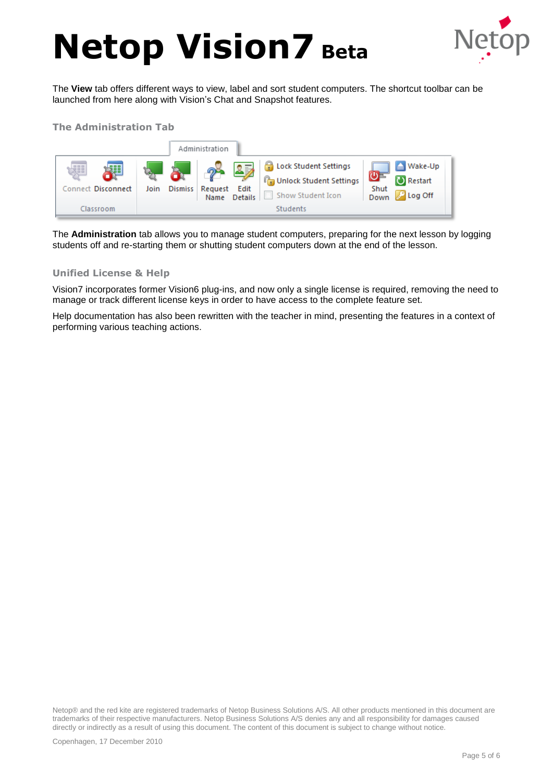

The **View** tab offers different ways to view, label and sort student computers. The shortcut toolbar can be launched from here along with Vision's Chat and Snapshot features.

### **The Administration Tab**



The **Administration** tab allows you to manage student computers, preparing for the next lesson by logging students off and re-starting them or shutting student computers down at the end of the lesson.

#### **Unified License & Help**

Vision7 incorporates former Vision6 plug-ins, and now only a single license is required, removing the need to manage or track different license keys in order to have access to the complete feature set.

Help documentation has also been rewritten with the teacher in mind, presenting the features in a context of performing various teaching actions.